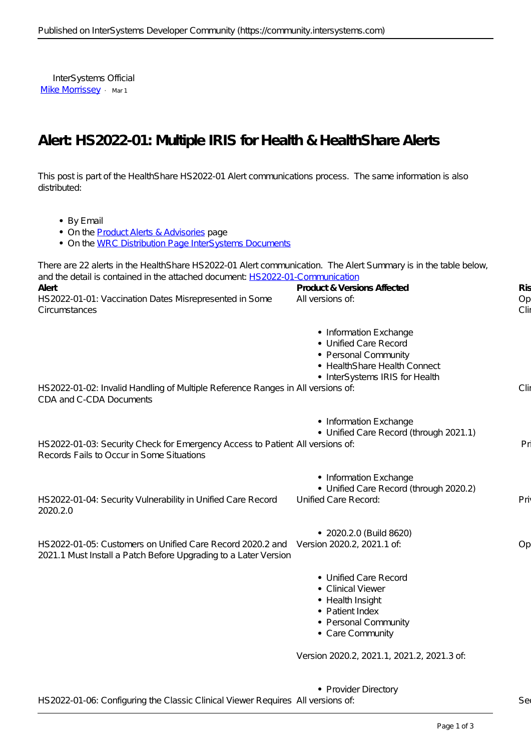InterSystems Official [Mike Morrissey](https://community.intersystems.com/user/mike-morrissey) · Mar 1

## **Alert: HS2022-01: Multiple IRIS for Health & HealthShare Alerts**

This post is part of the HealthShare HS2022-01 Alert communications process. The same information is also distributed:

- By Email
- On the **Product Alerts & Advisories** page

• On the [WRC Distribution Page InterSystems Documents](https://wrc.intersystems.com/wrc/coDistDocs.csp)

| There are 22 alerts in the HealthShare HS2022-01 Alert communication. The Alert Summary is in the table below,<br>and the detail is contained in the attached document HS 2022-01-Communication |                                                                                                                                           |                           |
|-------------------------------------------------------------------------------------------------------------------------------------------------------------------------------------------------|-------------------------------------------------------------------------------------------------------------------------------------------|---------------------------|
| Alert<br>HS2022-01-01: Vaccination Dates Misrepresented in Some<br>Circumstances                                                                                                                | Product & Versions Affected<br>All versions of:                                                                                           | <b>R</b> is<br>Op<br>Clir |
|                                                                                                                                                                                                 | • Information Exchange<br>• Unified Care Record<br>• Personal Community<br>• HealthShare Health Connect<br>• InterSystems IRIS for Health |                           |
| HS 2022-01-02: Invalid Handling of Multiple Reference Ranges in All versions of:<br>CDA and C-CDA Documents                                                                                     |                                                                                                                                           | Clir                      |
| HS 2022-01-03: Security Check for Emergency Access to Patient All versions of:<br>Records Fails to Occur in Some Situations                                                                     | • Information Exchange<br>• Unified Care Record (through 2021.1)                                                                          | Pri                       |
| HS2022-01-04: Security Vulnerability in Unified Care Record<br>2020.2.0                                                                                                                         | • Information Exchange<br>• Unified Care Record (through 2020.2)<br>Unified Care Record:                                                  | Priv                      |
| HS 2022-01-05: Customers on Unified Care Record 2020.2 and Version 2020.2, 2021.1 of:<br>2021.1 Must Install a Patch Before Upgrading to a Later Version                                        | • 2020.2.0 (Build 8620)                                                                                                                   | Op                        |
|                                                                                                                                                                                                 | • Unified Care Record<br>• Clinical Viewer<br>• Health Insight<br>• Patient Index<br>• Personal Community<br>• Care Community             |                           |
|                                                                                                                                                                                                 | Version 2020.2, 2021.1, 2021.2, 2021.3 of:                                                                                                |                           |
|                                                                                                                                                                                                 | • Provider Directory                                                                                                                      |                           |

HS2022-01-06: Configuring the Classic Clinical Viewer Requires All versions of: Security 1986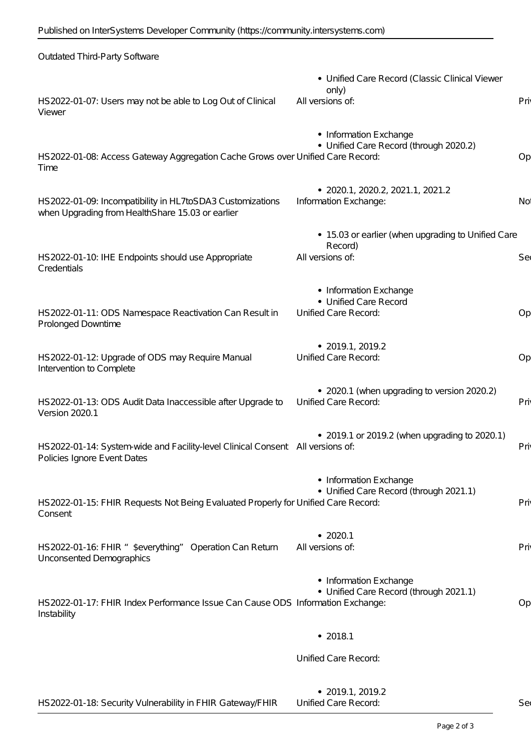| Outdated Third-Party Software                                                                                  |                                                                                   |                 |
|----------------------------------------------------------------------------------------------------------------|-----------------------------------------------------------------------------------|-----------------|
| HS2022-01-07: Users may not be able to Log Out of Clinical<br>Viewer                                           | · Unified Care Record (Classic Clinical Viewer<br>only)<br>All versions of:       | Priv            |
| HS2022-01-08: Access Gateway Aggregation Cache Grows over Unified Care Record:<br>Time                         | • Information Exchange<br>• Unified Care Record (through 2020.2)                  | Op              |
| HS2022-01-09: Incompatibility in HL7toSDA3 Customizations<br>when Upgrading from HealthShare 15.03 or earlier  | • 2020.1, 2020.2, 2021.1, 2021.2<br>Information Exchange:                         | No <sup>.</sup> |
| HS 2022-01-10: IHE Endpoints should use Appropriate<br>Credentials                                             | • 15.03 or earlier (when upgrading to Unified Care<br>Record)<br>All versions of: | Seo             |
| HS2022-01-11: ODS Namespace Reactivation Can Result in<br>Prolonged Downtime                                   | • Information Exchange<br>· Unified Care Record<br>Unified Care Record:           | Op              |
| HS2022-01-12: Upgrade of ODS may Require Manual<br>Intervention to Complete                                    | $\bullet$ 2019.1, 2019.2<br>Unified Care Record:                                  | Op              |
| HS2022-01-13: ODS AuditData Inaccessible after Upgrade to<br>Version 2020.1                                    | • 2020.1 (when upgrading to version 2020.2)<br>Unified Care Record:               | Priv            |
| HS 2022-01-14: System-wide and Facility-level Clinical Consent All versions of:<br>Policies Ignore Event Dates | • 2019.1 or 2019.2 (when upgrading to 2020.1)                                     | Pri             |
| HS 2022-01-15: FHIR Requests Not Being Evaluated Properly for Unified Care Record:<br>Consent                  | • Information Exchange<br>• Unified Care Record (through 2021.1)                  | Priv            |
| HS2022-01-16: FHIR "\$everything" Operation Can Return<br>Unconsented Demographics                             | • 2020.1<br>All versions of:                                                      | Priv            |
| HS2022-01-17: FHIR Index Performance Issue Can Cause ODS Information Exchange:<br>Instability                  | • Information Exchange<br>• Unified Care Record (through 2021.1)                  | Op              |
|                                                                                                                | • 2018.1                                                                          |                 |
|                                                                                                                | Unified Care Record:                                                              |                 |
|                                                                                                                | $\bullet$ 2019.1, 2019.2                                                          |                 |

| HS 2022-01-18: Security Vulnerability in FHIR Gateway/FHIR | Unified Care Record: |  |
|------------------------------------------------------------|----------------------|--|